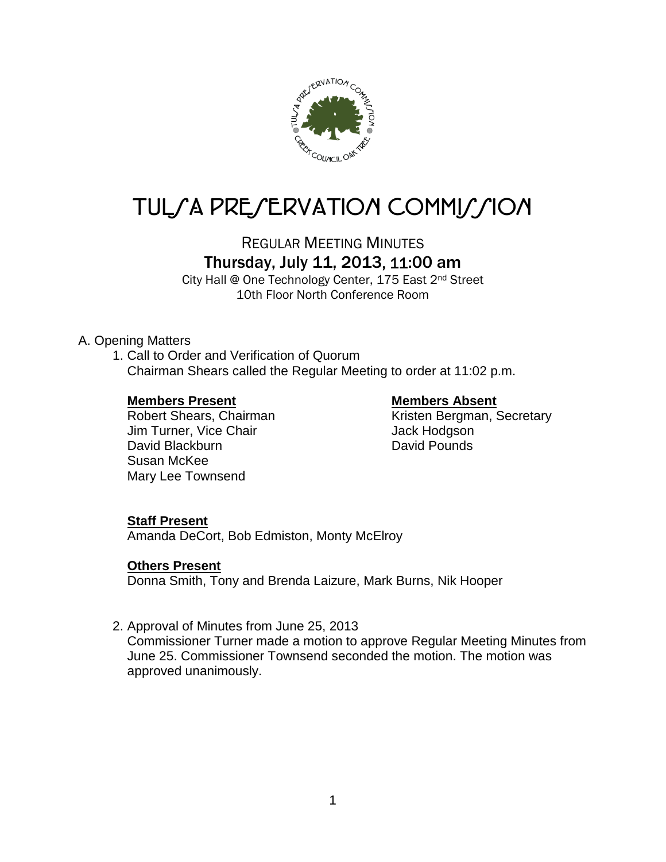

# TUL/A PRE/ERVATION COMMI//ION

REGULAR MEETING MINUTES

Thursday, July 11, 2013, 11:00 am

City Hall @ One Technology Center, 175 East 2nd Street 10th Floor North Conference Room

# A. Opening Matters

1. Call to Order and Verification of Quorum Chairman Shears called the Regular Meeting to order at 11:02 p.m.

**Members Present Members Absent** Jim Turner, Vice Chair **Jack Hodgson** David Blackburn **David Pounds** Susan McKee Mary Lee Townsend

Kristen Bergman, Secretary

### **Staff Present**

Amanda DeCort, Bob Edmiston, Monty McElroy

### **Others Present**

Donna Smith, Tony and Brenda Laizure, Mark Burns, Nik Hooper

2. Approval of Minutes from June 25, 2013

Commissioner Turner made a motion to approve Regular Meeting Minutes from June 25. Commissioner Townsend seconded the motion. The motion was approved unanimously.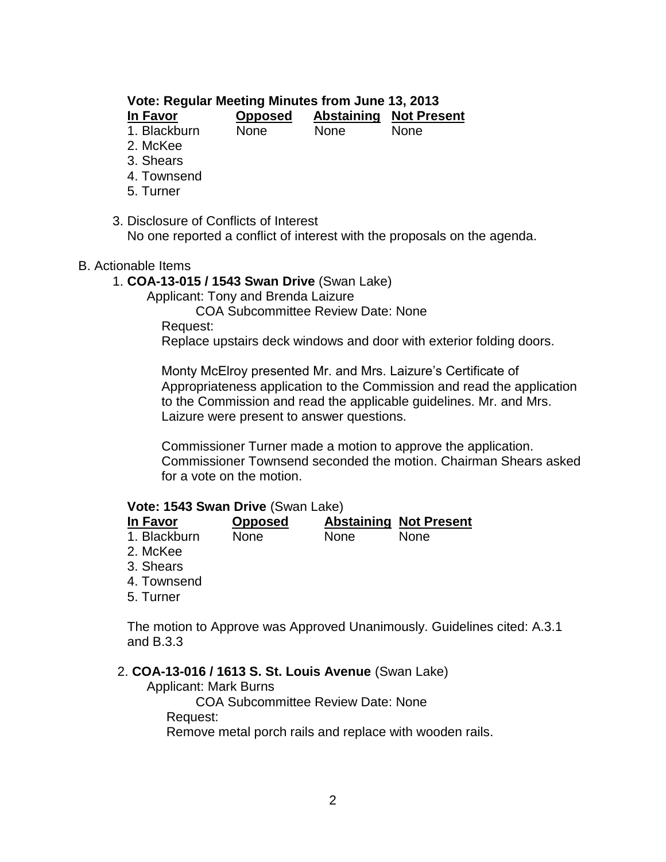# **Vote: Regular Meeting Minutes from June 13, 2013**

| In Favor     | <b>Opposed</b> |             | <b>Abstaining Not Present</b> |
|--------------|----------------|-------------|-------------------------------|
| 1. Blackburn | None           | <b>None</b> | <b>None</b>                   |

2. McKee

- 
- 3. Shears
- 4. Townsend
- 5. Turner
- 3. Disclosure of Conflicts of Interest

No one reported a conflict of interest with the proposals on the agenda.

#### B. Actionable Items

- 1. **COA-13-015 / 1543 Swan Drive** (Swan Lake)
	- Applicant: Tony and Brenda Laizure

COA Subcommittee Review Date: None

Request:

Replace upstairs deck windows and door with exterior folding doors.

Monty McElroy presented Mr. and Mrs. Laizure's Certificate of Appropriateness application to the Commission and read the application to the Commission and read the applicable guidelines. Mr. and Mrs. Laizure were present to answer questions.

Commissioner Turner made a motion to approve the application. Commissioner Townsend seconded the motion. Chairman Shears asked for a vote on the motion.

#### **Vote: 1543 Swan Drive** (Swan Lake)

| In Favor     | <b>Opposed</b> |             | <b>Abstaining Not Present</b> |
|--------------|----------------|-------------|-------------------------------|
| 1. Blackburn | <b>None</b>    | <b>None</b> | <b>None</b>                   |

- 2. McKee
- 3. Shears
- 4. Townsend
- 5. Turner

The motion to Approve was Approved Unanimously. Guidelines cited: A.3.1 and B.3.3

#### 2. **COA-13-016 / 1613 S. St. Louis Avenue** (Swan Lake)

Applicant: Mark Burns

COA Subcommittee Review Date: None

Request:

Remove metal porch rails and replace with wooden rails.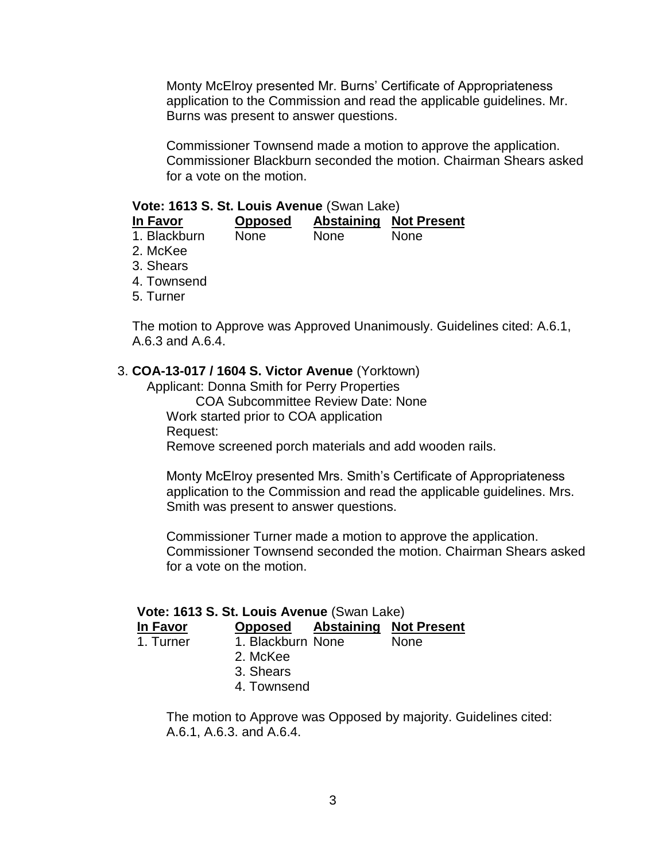Monty McElroy presented Mr. Burns' Certificate of Appropriateness application to the Commission and read the applicable guidelines. Mr. Burns was present to answer questions.

Commissioner Townsend made a motion to approve the application. Commissioner Blackburn seconded the motion. Chairman Shears asked for a vote on the motion.

#### **Vote: 1613 S. St. Louis Avenue** (Swan Lake)

| In Favor     | <b>Opposed</b> | <b>Abstaining</b> | <b>Not Present</b> |
|--------------|----------------|-------------------|--------------------|
| 1. Blackburn | <b>None</b>    | None              | <b>None</b>        |
| 2. McKee     |                |                   |                    |
| 3. Shears    |                |                   |                    |
| 4. Townsend  |                |                   |                    |
| 5. Turner    |                |                   |                    |

The motion to Approve was Approved Unanimously. Guidelines cited: A.6.1, A.6.3 and A.6.4.

#### 3. **COA-13-017 / 1604 S. Victor Avenue** (Yorktown)

Applicant: Donna Smith for Perry Properties COA Subcommittee Review Date: None Work started prior to COA application Request: Remove screened porch materials and add wooden rails.

Monty McElroy presented Mrs. Smith's Certificate of Appropriateness application to the Commission and read the applicable guidelines. Mrs. Smith was present to answer questions.

Commissioner Turner made a motion to approve the application. Commissioner Townsend seconded the motion. Chairman Shears asked for a vote on the motion.

#### **Vote: 1613 S. St. Louis Avenue** (Swan Lake)

#### **In Favor Opposed Abstaining Not Present**

1. Turner 1. Blackburn None None

- 2. McKee
- 3. Shears
- 4. Townsend

The motion to Approve was Opposed by majority. Guidelines cited: A.6.1, A.6.3. and A.6.4.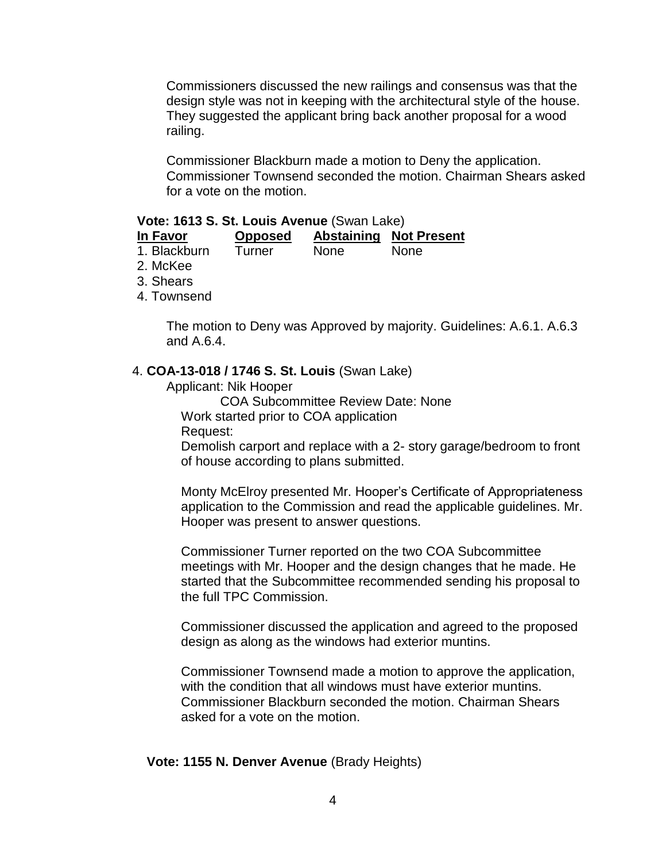Commissioners discussed the new railings and consensus was that the design style was not in keeping with the architectural style of the house. They suggested the applicant bring back another proposal for a wood railing.

Commissioner Blackburn made a motion to Deny the application. Commissioner Townsend seconded the motion. Chairman Shears asked for a vote on the motion.

#### **Vote: 1613 S. St. Louis Avenue** (Swan Lake)

| In Favor         | <b>Opposed</b> |       | <b>Abstaining Not Present</b> |
|------------------|----------------|-------|-------------------------------|
| 4. District of A |                | Nasar | $\mathbf{N}$                  |

- 1. Blackburn Turner None None
- 2. McKee
- 3. Shears
- 4. Townsend

The motion to Deny was Approved by majority. Guidelines: A.6.1. A.6.3 and A.6.4.

#### 4. **COA-13-018 / 1746 S. St. Louis** (Swan Lake)

Applicant: Nik Hooper

COA Subcommittee Review Date: None

Work started prior to COA application

Request:

Demolish carport and replace with a 2- story garage/bedroom to front of house according to plans submitted.

Monty McElroy presented Mr. Hooper's Certificate of Appropriateness application to the Commission and read the applicable guidelines. Mr. Hooper was present to answer questions.

Commissioner Turner reported on the two COA Subcommittee meetings with Mr. Hooper and the design changes that he made. He started that the Subcommittee recommended sending his proposal to the full TPC Commission.

Commissioner discussed the application and agreed to the proposed design as along as the windows had exterior muntins.

Commissioner Townsend made a motion to approve the application, with the condition that all windows must have exterior muntins. Commissioner Blackburn seconded the motion. Chairman Shears asked for a vote on the motion.

**Vote: 1155 N. Denver Avenue** (Brady Heights)